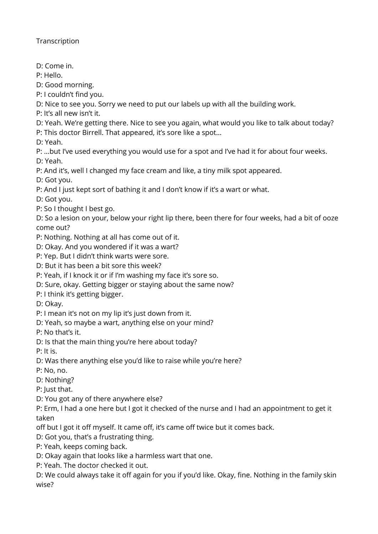**Transcription** 

D: Come in.

P: Hello.

D: Good morning.

P: I couldn't find you.

D: Nice to see you. Sorry we need to put our labels up with all the building work.

P: It's all new isn't it.

D: Yeah. We're getting there. Nice to see you again, what would you like to talk about today?

P: This doctor Birrell. That appeared, it's sore like a spot…

D: Yeah.

P: …but I've used everything you would use for a spot and I've had it for about four weeks.

D: Yeah.

P: And it's, well I changed my face cream and like, a tiny milk spot appeared.

D: Got you.

P: And I just kept sort of bathing it and I don't know if it's a wart or what.

D: Got you.

P: So I thought I best go.

D: So a lesion on your, below your right lip there, been there for four weeks, had a bit of ooze come out?

P: Nothing. Nothing at all has come out of it.

D: Okay. And you wondered if it was a wart?

P: Yep. But I didn't think warts were sore.

D: But it has been a bit sore this week?

P: Yeah, if I knock it or if I'm washing my face it's sore so.

D: Sure, okay. Getting bigger or staying about the same now?

P: I think it's getting bigger.

D: Okay.

P: I mean it's not on my lip it's just down from it.

D: Yeah, so maybe a wart, anything else on your mind?

P: No that's it.

D: Is that the main thing you're here about today?

P: It is.

D: Was there anything else you'd like to raise while you're here?

P: No, no.

D: Nothing?

P: Just that.

D: You got any of there anywhere else?

P: Erm, I had a one here but I got it checked of the nurse and I had an appointment to get it taken

off but I got it off myself. It came off, it's came off twice but it comes back.

D: Got you, that's a frustrating thing.

P: Yeah, keeps coming back.

D: Okay again that looks like a harmless wart that one.

P: Yeah. The doctor checked it out.

D: We could always take it off again for you if you'd like. Okay, fine. Nothing in the family skin wise?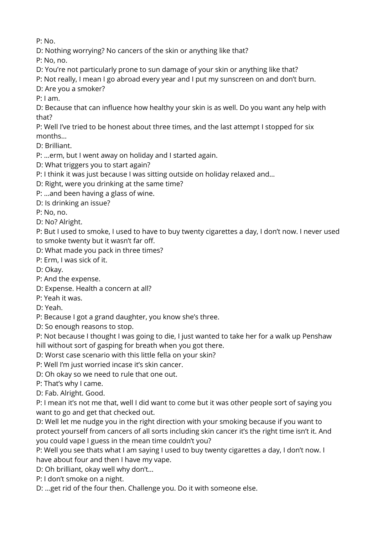P: No.

D: Nothing worrying? No cancers of the skin or anything like that?

P: No, no.

D: You're not particularly prone to sun damage of your skin or anything like that?

P: Not really, I mean I go abroad every year and I put my sunscreen on and don't burn.

D: Are you a smoker?

P: I am.

D: Because that can influence how healthy your skin is as well. Do you want any help with that?

P: Well I've tried to be honest about three times, and the last attempt I stopped for six months…

D: Brilliant.

P: …erm, but I went away on holiday and I started again.

D: What triggers you to start again?

P: I think it was just because I was sitting outside on holiday relaxed and…

D: Right, were you drinking at the same time?

P: …and been having a glass of wine.

D: Is drinking an issue?

P: No, no.

D: No? Alright.

P: But I used to smoke, I used to have to buy twenty cigarettes a day, I don't now. I never used to smoke twenty but it wasn't far off.

D: What made you pack in three times?

P: Erm, I was sick of it.

D: Okay.

P: And the expense.

D: Expense. Health a concern at all?

P: Yeah it was.

D: Yeah.

P: Because I got a grand daughter, you know she's three.

D: So enough reasons to stop.

P: Not because I thought I was going to die, I just wanted to take her for a walk up Penshaw hill without sort of gasping for breath when you got there.

D: Worst case scenario with this little fella on your skin?

P: Well I'm just worried incase it's skin cancer.

D: Oh okay so we need to rule that one out.

P: That's why I came.

D: Fab. Alright. Good.

P: I mean it's not me that, well I did want to come but it was other people sort of saying you want to go and get that checked out.

D: Well let me nudge you in the right direction with your smoking because if you want to protect yourself from cancers of all sorts including skin cancer it's the right time isn't it. And you could vape I guess in the mean time couldn't you?

P: Well you see thats what I am saying I used to buy twenty cigarettes a day, I don't now. I have about four and then I have my vape.

D: Oh brilliant, okay well why don't…

P: I don't smoke on a night.

D: …get rid of the four then. Challenge you. Do it with someone else.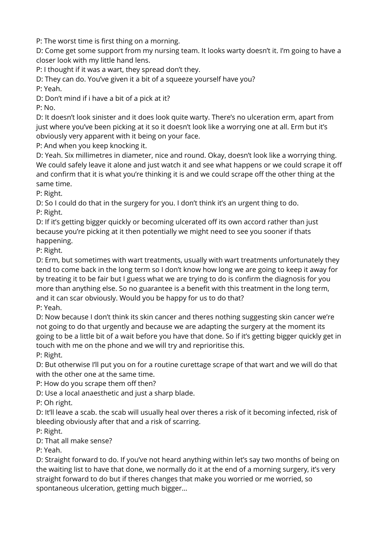P: The worst time is first thing on a morning.

D: Come get some support from my nursing team. It looks warty doesn't it. I'm going to have a closer look with my little hand lens.

P: I thought if it was a wart, they spread don't they.

D: They can do. You've given it a bit of a squeeze yourself have you?

P: Yeah.

D: Don't mind if i have a bit of a pick at it?

P: No.

D: It doesn't look sinister and it does look quite warty. There's no ulceration erm, apart from just where you've been picking at it so it doesn't look like a worrying one at all. Erm but it's obviously very apparent with it being on your face.

P: And when you keep knocking it.

D: Yeah. Six millimetres in diameter, nice and round. Okay, doesn't look like a worrying thing. We could safely leave it alone and just watch it and see what happens or we could scrape it off and confirm that it is what you're thinking it is and we could scrape off the other thing at the same time.

P: Right.

D: So I could do that in the surgery for you. I don't think it's an urgent thing to do. P: Right.

D: If it's getting bigger quickly or becoming ulcerated off its own accord rather than just because you're picking at it then potentially we might need to see you sooner if thats happening.

P: Right.

D: Erm, but sometimes with wart treatments, usually with wart treatments unfortunately they tend to come back in the long term so I don't know how long we are going to keep it away for by treating it to be fair but I guess what we are trying to do is confirm the diagnosis for you more than anything else. So no guarantee is a benefit with this treatment in the long term, and it can scar obviously. Would you be happy for us to do that? P: Yeah.

D: Now because I don't think its skin cancer and theres nothing suggesting skin cancer we're not going to do that urgently and because we are adapting the surgery at the moment its going to be a little bit of a wait before you have that done. So if it's getting bigger quickly get in touch with me on the phone and we will try and reprioritise this.

P: Right.

D: But otherwise I'll put you on for a routine curettage scrape of that wart and we will do that with the other one at the same time.

P: How do you scrape them off then?

D: Use a local anaesthetic and just a sharp blade.

P: Oh right.

D: It'll leave a scab. the scab will usually heal over theres a risk of it becoming infected, risk of bleeding obviously after that and a risk of scarring.

P: Right.

D: That all make sense?

P: Yeah.

D: Straight forward to do. If you've not heard anything within let's say two months of being on the waiting list to have that done, we normally do it at the end of a morning surgery, it's very straight forward to do but if theres changes that make you worried or me worried, so spontaneous ulceration, getting much bigger…